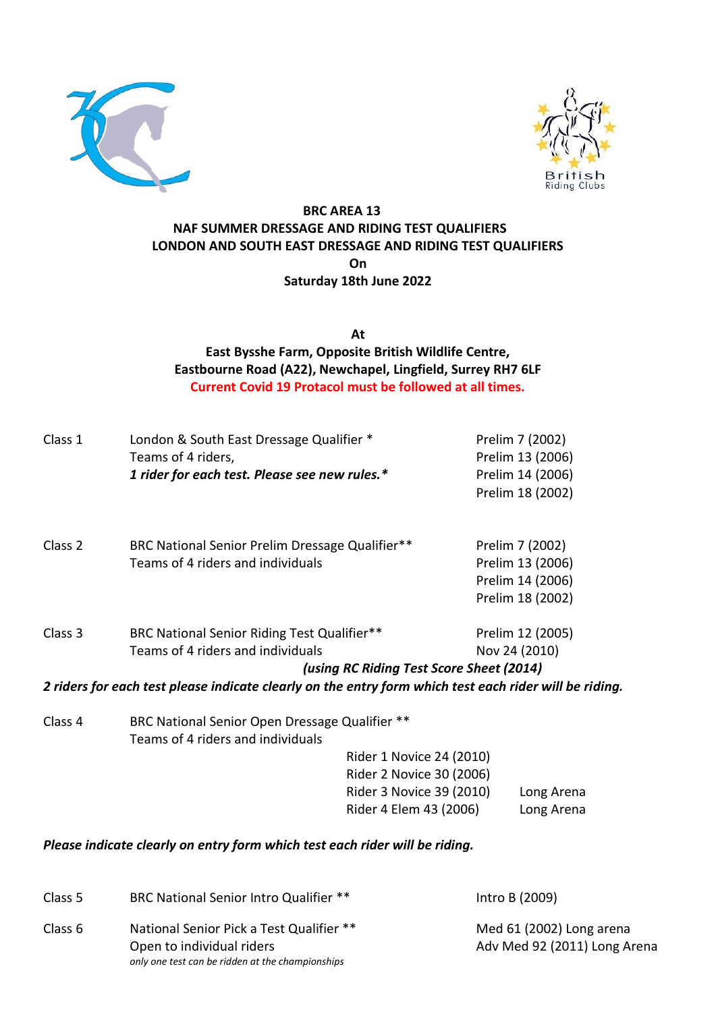



# **BRC AREA 13 NAF SUMMER DRESSAGE AND RIDING TEST QUALIFIERS LONDON AND SOUTH EAST DRESSAGE AND RIDING TEST QUALIFIERS On Saturday 18th June 2022**

**At**

**East Bysshe Farm, Opposite British Wildlife Centre, Eastbourne Road (A22), Newchapel, Lingfield, Surrey RH7 6LF Current Covid 19 Protacol must be followed at all times.**

| Class 1 | London & South East Dressage Qualifier *<br>Teams of 4 riders,                                         |                                          | Prelim 7 (2002)<br>Prelim 13 (2006)  |
|---------|--------------------------------------------------------------------------------------------------------|------------------------------------------|--------------------------------------|
|         | 1 rider for each test. Please see new rules.*                                                          |                                          | Prelim 14 (2006)<br>Prelim 18 (2002) |
| Class 2 | BRC National Senior Prelim Dressage Qualifier**<br>Teams of 4 riders and individuals                   |                                          | Prelim 7 (2002)<br>Prelim 13 (2006)  |
|         |                                                                                                        |                                          | Prelim 14 (2006)                     |
|         |                                                                                                        |                                          | Prelim 18 (2002)                     |
| Class 3 | BRC National Senior Riding Test Qualifier**                                                            |                                          | Prelim 12 (2005)                     |
|         | Teams of 4 riders and individuals                                                                      |                                          | Nov 24 (2010)                        |
|         |                                                                                                        | (using RC Riding Test Score Sheet (2014) |                                      |
|         | 2 riders for each test please indicate clearly on the entry form which test each rider will be riding. |                                          |                                      |
| Class 4 | BRC National Senior Open Dressage Qualifier **<br>Teams of 4 riders and individuals                    |                                          |                                      |
|         |                                                                                                        | Rider 1 Novice 24 (2010)                 |                                      |
|         |                                                                                                        | Rider 2 Novice 30 (2006)                 |                                      |
|         |                                                                                                        | Rider 3 Novice 39 (2010)                 | Long Arena                           |
|         |                                                                                                        | Rider 4 Elem 43 (2006)                   | Long Arena                           |

## *Please indicate clearly on entry form which test each rider will be riding.*

| Intro B (2009)                                           |
|----------------------------------------------------------|
| Med 61 (2002) Long arena<br>Adv Med 92 (2011) Long Arena |
|                                                          |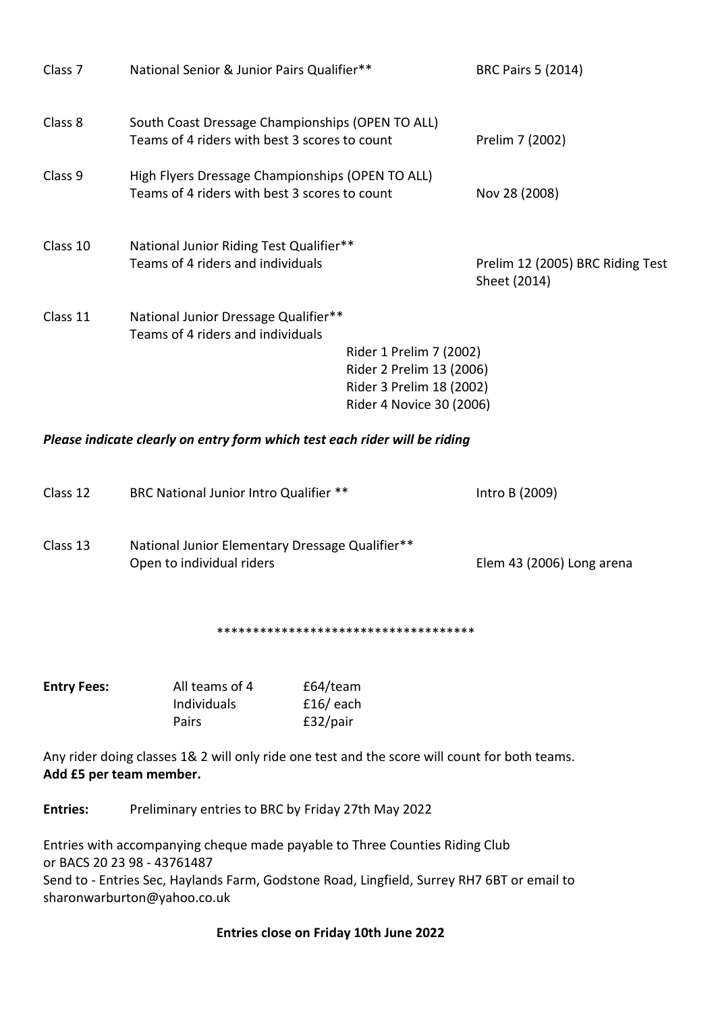| Class <sub>7</sub> | National Senior & Junior Pairs Qualifier**                                                        |                                                                                                             | <b>BRC Pairs 5 (2014)</b>                        |
|--------------------|---------------------------------------------------------------------------------------------------|-------------------------------------------------------------------------------------------------------------|--------------------------------------------------|
| Class 8            | South Coast Dressage Championships (OPEN TO ALL)<br>Teams of 4 riders with best 3 scores to count |                                                                                                             | Prelim 7 (2002)                                  |
| Class 9            | High Flyers Dressage Championships (OPEN TO ALL)<br>Teams of 4 riders with best 3 scores to count |                                                                                                             | Nov 28 (2008)                                    |
| Class 10           | National Junior Riding Test Qualifier**<br>Teams of 4 riders and individuals                      |                                                                                                             | Prelim 12 (2005) BRC Riding Test<br>Sheet (2014) |
| Class 11           | National Junior Dressage Qualifier**<br>Teams of 4 riders and individuals                         | Rider 1 Prelim 7 (2002)<br>Rider 2 Prelim 13 (2006)<br>Rider 3 Prelim 18 (2002)<br>Rider 4 Novice 30 (2006) |                                                  |

#### *Please indicate clearly on entry form which test each rider will be riding*

| Class 12 | BRC National Junior Intro Qualifier **                                       | Intro B (2009)            |
|----------|------------------------------------------------------------------------------|---------------------------|
| Class 13 | National Junior Elementary Dressage Qualifier**<br>Open to individual riders | Elem 43 (2006) Long arena |
|          | *************************************                                        |                           |
|          |                                                                              |                           |

| <b>Entry Fees:</b> | All teams of 4 | £64/team    |
|--------------------|----------------|-------------|
|                    | Individuals    | $£16/$ each |
|                    | Pairs          | £32/pair    |

Any rider doing classes 1& 2 will only ride one test and the score will count for both teams. **Add £5 per team member.** 

**Entries:** Preliminary entries to BRC by Friday 27th May 2022

Entries with accompanying cheque made payable to Three Counties Riding Club or BACS 20 23 98 - 43761487 Send to - Entries Sec, Haylands Farm, Godstone Road, Lingfield, Surrey RH7 6BT or email to sharonwarburton@yahoo.co.uk

### **Entries close on Friday 10th June 2022**